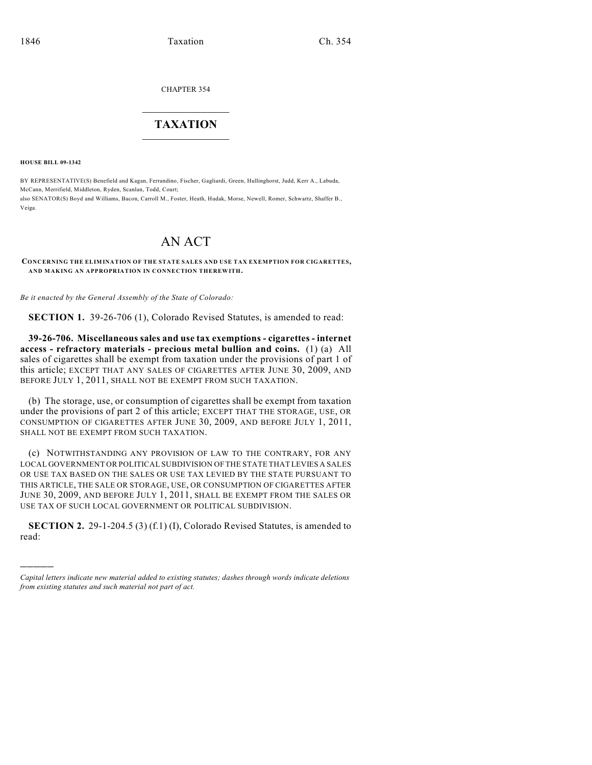CHAPTER 354

## $\mathcal{L}_\text{max}$  . The set of the set of the set of the set of the set of the set of the set of the set of the set of the set of the set of the set of the set of the set of the set of the set of the set of the set of the set **TAXATION**  $\_$

**HOUSE BILL 09-1342**

)))))

BY REPRESENTATIVE(S) Benefield and Kagan, Ferrandino, Fischer, Gagliardi, Green, Hullinghorst, Judd, Kerr A., Labuda, McCann, Merrifield, Middleton, Ryden, Scanlan, Todd, Court; also SENATOR(S) Boyd and Williams, Bacon, Carroll M., Foster, Heath, Hudak, Morse, Newell, Romer, Schwartz, Shaffer B., Veiga.

# AN ACT

**CONCERNING THE ELIMINATION OF THE STATE SALES AND USE TAX EXEMPTION FOR CIGARETTES, AND MAKING AN APPROPRIATION IN CONNECTION THEREWITH.**

*Be it enacted by the General Assembly of the State of Colorado:*

**SECTION 1.** 39-26-706 (1), Colorado Revised Statutes, is amended to read:

**39-26-706. Miscellaneous sales and use tax exemptions - cigarettes - internet access - refractory materials - precious metal bullion and coins.** (1) (a) All sales of cigarettes shall be exempt from taxation under the provisions of part 1 of this article; EXCEPT THAT ANY SALES OF CIGARETTES AFTER JUNE 30, 2009, AND BEFORE JULY 1, 2011, SHALL NOT BE EXEMPT FROM SUCH TAXATION.

(b) The storage, use, or consumption of cigarettes shall be exempt from taxation under the provisions of part 2 of this article; EXCEPT THAT THE STORAGE, USE, OR CONSUMPTION OF CIGARETTES AFTER JUNE 30, 2009, AND BEFORE JULY 1, 2011, SHALL NOT BE EXEMPT FROM SUCH TAXATION.

(c) NOTWITHSTANDING ANY PROVISION OF LAW TO THE CONTRARY, FOR ANY LOCAL GOVERNMENT OR POLITICAL SUBDIVISION OF THE STATE THAT LEVIES A SALES OR USE TAX BASED ON THE SALES OR USE TAX LEVIED BY THE STATE PURSUANT TO THIS ARTICLE, THE SALE OR STORAGE, USE, OR CONSUMPTION OF CIGARETTES AFTER JUNE 30, 2009, AND BEFORE JULY 1, 2011, SHALL BE EXEMPT FROM THE SALES OR USE TAX OF SUCH LOCAL GOVERNMENT OR POLITICAL SUBDIVISION.

**SECTION 2.** 29-1-204.5 (3) (f.1) (I), Colorado Revised Statutes, is amended to read:

*Capital letters indicate new material added to existing statutes; dashes through words indicate deletions from existing statutes and such material not part of act.*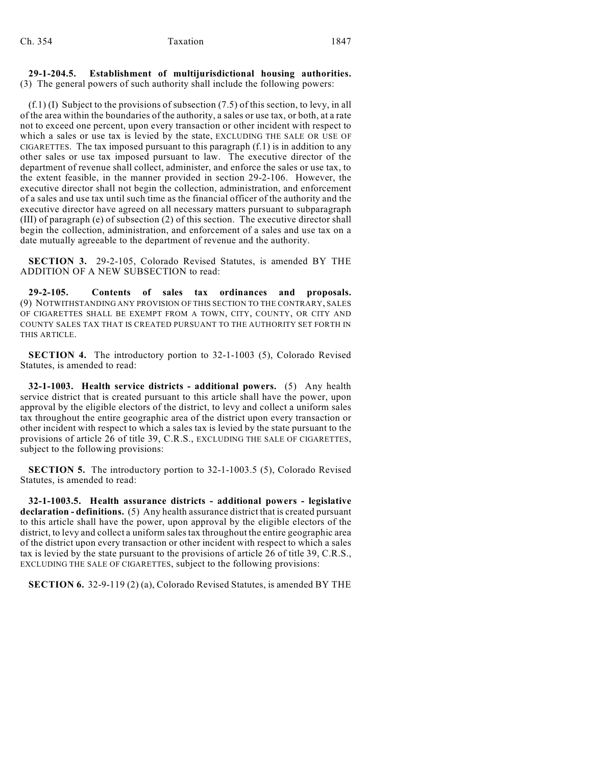#### **29-1-204.5. Establishment of multijurisdictional housing authorities.** (3) The general powers of such authority shall include the following powers:

(f.1) (I) Subject to the provisions of subsection (7.5) of this section, to levy, in all of the area within the boundaries of the authority, a sales or use tax, or both, at a rate not to exceed one percent, upon every transaction or other incident with respect to which a sales or use tax is levied by the state, EXCLUDING THE SALE OR USE OF CIGARETTES. The tax imposed pursuant to this paragraph  $(f, 1)$  is in addition to any other sales or use tax imposed pursuant to law. The executive director of the department of revenue shall collect, administer, and enforce the sales or use tax, to the extent feasible, in the manner provided in section 29-2-106. However, the executive director shall not begin the collection, administration, and enforcement of a sales and use tax until such time as the financial officer of the authority and the executive director have agreed on all necessary matters pursuant to subparagraph (III) of paragraph (e) of subsection (2) of this section. The executive director shall begin the collection, administration, and enforcement of a sales and use tax on a date mutually agreeable to the department of revenue and the authority.

**SECTION 3.** 29-2-105, Colorado Revised Statutes, is amended BY THE ADDITION OF A NEW SUBSECTION to read:

**29-2-105. Contents of sales tax ordinances and proposals.** (9) NOTWITHSTANDING ANY PROVISION OF THIS SECTION TO THE CONTRARY, SALES OF CIGARETTES SHALL BE EXEMPT FROM A TOWN, CITY, COUNTY, OR CITY AND COUNTY SALES TAX THAT IS CREATED PURSUANT TO THE AUTHORITY SET FORTH IN THIS ARTICLE.

**SECTION 4.** The introductory portion to 32-1-1003 (5), Colorado Revised Statutes, is amended to read:

**32-1-1003. Health service districts - additional powers.** (5) Any health service district that is created pursuant to this article shall have the power, upon approval by the eligible electors of the district, to levy and collect a uniform sales tax throughout the entire geographic area of the district upon every transaction or other incident with respect to which a sales tax is levied by the state pursuant to the provisions of article 26 of title 39, C.R.S., EXCLUDING THE SALE OF CIGARETTES, subject to the following provisions:

**SECTION 5.** The introductory portion to 32-1-1003.5 (5), Colorado Revised Statutes, is amended to read:

**32-1-1003.5. Health assurance districts - additional powers - legislative declaration - definitions.** (5) Any health assurance district that is created pursuant to this article shall have the power, upon approval by the eligible electors of the district, to levy and collect a uniform sales tax throughout the entire geographic area of the district upon every transaction or other incident with respect to which a sales tax is levied by the state pursuant to the provisions of article 26 of title 39, C.R.S., EXCLUDING THE SALE OF CIGARETTES, subject to the following provisions:

**SECTION 6.** 32-9-119 (2) (a), Colorado Revised Statutes, is amended BY THE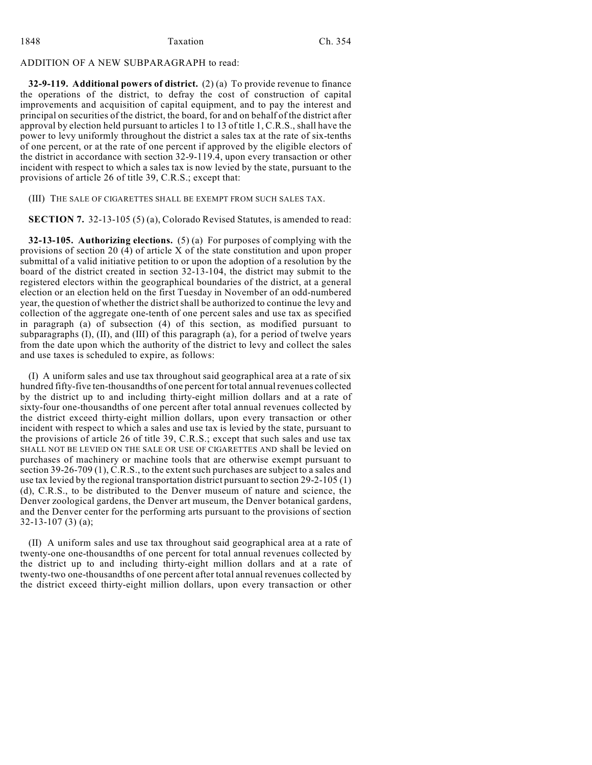## ADDITION OF A NEW SUBPARAGRAPH to read:

**32-9-119. Additional powers of district.** (2) (a) To provide revenue to finance the operations of the district, to defray the cost of construction of capital improvements and acquisition of capital equipment, and to pay the interest and principal on securities of the district, the board, for and on behalf of the district after approval by election held pursuant to articles 1 to 13 of title 1, C.R.S., shall have the power to levy uniformly throughout the district a sales tax at the rate of six-tenths of one percent, or at the rate of one percent if approved by the eligible electors of the district in accordance with section 32-9-119.4, upon every transaction or other incident with respect to which a sales tax is now levied by the state, pursuant to the provisions of article 26 of title 39, C.R.S.; except that:

(III) THE SALE OF CIGARETTES SHALL BE EXEMPT FROM SUCH SALES TAX.

**SECTION 7.** 32-13-105 (5) (a), Colorado Revised Statutes, is amended to read:

**32-13-105. Authorizing elections.** (5) (a) For purposes of complying with the provisions of section 20 (4) of article X of the state constitution and upon proper submittal of a valid initiative petition to or upon the adoption of a resolution by the board of the district created in section 32-13-104, the district may submit to the registered electors within the geographical boundaries of the district, at a general election or an election held on the first Tuesday in November of an odd-numbered year, the question of whether the district shall be authorized to continue the levy and collection of the aggregate one-tenth of one percent sales and use tax as specified in paragraph (a) of subsection (4) of this section, as modified pursuant to subparagraphs (I), (II), and (III) of this paragraph (a), for a period of twelve years from the date upon which the authority of the district to levy and collect the sales and use taxes is scheduled to expire, as follows:

(I) A uniform sales and use tax throughout said geographical area at a rate of six hundred fifty-five ten-thousandths of one percent for total annual revenues collected by the district up to and including thirty-eight million dollars and at a rate of sixty-four one-thousandths of one percent after total annual revenues collected by the district exceed thirty-eight million dollars, upon every transaction or other incident with respect to which a sales and use tax is levied by the state, pursuant to the provisions of article 26 of title 39, C.R.S.; except that such sales and use tax SHALL NOT BE LEVIED ON THE SALE OR USE OF CIGARETTES AND shall be levied on purchases of machinery or machine tools that are otherwise exempt pursuant to section 39-26-709 (1), C.R.S., to the extent such purchases are subject to a sales and use tax levied by the regional transportation district pursuant to section 29-2-105 (1) (d), C.R.S., to be distributed to the Denver museum of nature and science, the Denver zoological gardens, the Denver art museum, the Denver botanical gardens, and the Denver center for the performing arts pursuant to the provisions of section 32-13-107 (3) (a);

(II) A uniform sales and use tax throughout said geographical area at a rate of twenty-one one-thousandths of one percent for total annual revenues collected by the district up to and including thirty-eight million dollars and at a rate of twenty-two one-thousandths of one percent after total annual revenues collected by the district exceed thirty-eight million dollars, upon every transaction or other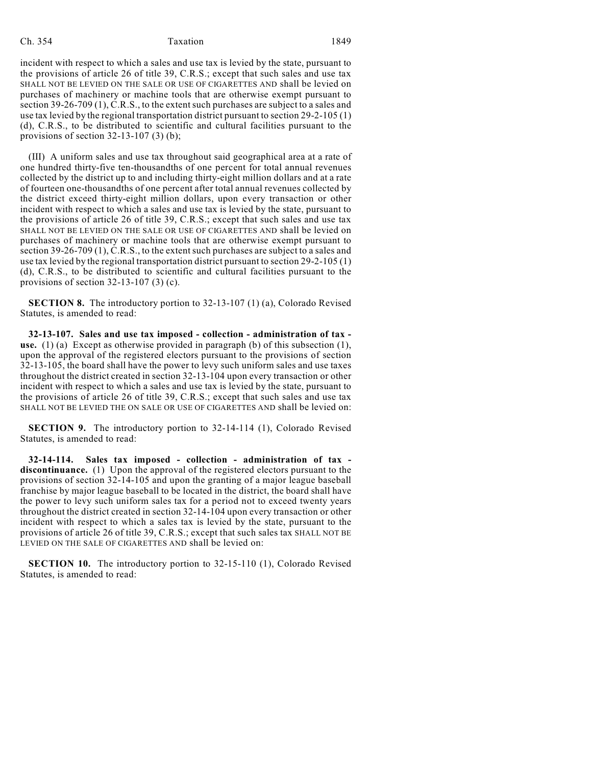## Ch. 354 Taxation 1849

incident with respect to which a sales and use tax is levied by the state, pursuant to the provisions of article 26 of title 39, C.R.S.; except that such sales and use tax SHALL NOT BE LEVIED ON THE SALE OR USE OF CIGARETTES AND shall be levied on purchases of machinery or machine tools that are otherwise exempt pursuant to section 39-26-709 (1), C.R.S., to the extent such purchases are subject to a sales and use tax levied by the regional transportation district pursuant to section 29-2-105 (1) (d), C.R.S., to be distributed to scientific and cultural facilities pursuant to the provisions of section 32-13-107 (3) (b);

(III) A uniform sales and use tax throughout said geographical area at a rate of one hundred thirty-five ten-thousandths of one percent for total annual revenues collected by the district up to and including thirty-eight million dollars and at a rate of fourteen one-thousandths of one percent after total annual revenues collected by the district exceed thirty-eight million dollars, upon every transaction or other incident with respect to which a sales and use tax is levied by the state, pursuant to the provisions of article 26 of title 39, C.R.S.; except that such sales and use tax SHALL NOT BE LEVIED ON THE SALE OR USE OF CIGARETTES AND shall be levied on purchases of machinery or machine tools that are otherwise exempt pursuant to section 39-26-709 (1), C.R.S., to the extent such purchases are subject to a sales and use tax levied by the regional transportation district pursuant to section 29-2-105 (1) (d), C.R.S., to be distributed to scientific and cultural facilities pursuant to the provisions of section 32-13-107 (3) (c).

**SECTION 8.** The introductory portion to 32-13-107 (1) (a), Colorado Revised Statutes, is amended to read:

**32-13-107. Sales and use tax imposed - collection - administration of tax use.** (1) (a) Except as otherwise provided in paragraph (b) of this subsection (1), upon the approval of the registered electors pursuant to the provisions of section 32-13-105, the board shall have the power to levy such uniform sales and use taxes throughout the district created in section 32-13-104 upon every transaction or other incident with respect to which a sales and use tax is levied by the state, pursuant to the provisions of article 26 of title 39, C.R.S.; except that such sales and use tax SHALL NOT BE LEVIED THE ON SALE OR USE OF CIGARETTES AND shall be levied on:

**SECTION 9.** The introductory portion to 32-14-114 (1), Colorado Revised Statutes, is amended to read:

**32-14-114. Sales tax imposed - collection - administration of tax discontinuance.** (1) Upon the approval of the registered electors pursuant to the provisions of section 32-14-105 and upon the granting of a major league baseball franchise by major league baseball to be located in the district, the board shall have the power to levy such uniform sales tax for a period not to exceed twenty years throughout the district created in section 32-14-104 upon every transaction or other incident with respect to which a sales tax is levied by the state, pursuant to the provisions of article 26 of title 39, C.R.S.; except that such sales tax SHALL NOT BE LEVIED ON THE SALE OF CIGARETTES AND shall be levied on:

**SECTION 10.** The introductory portion to 32-15-110 (1), Colorado Revised Statutes, is amended to read: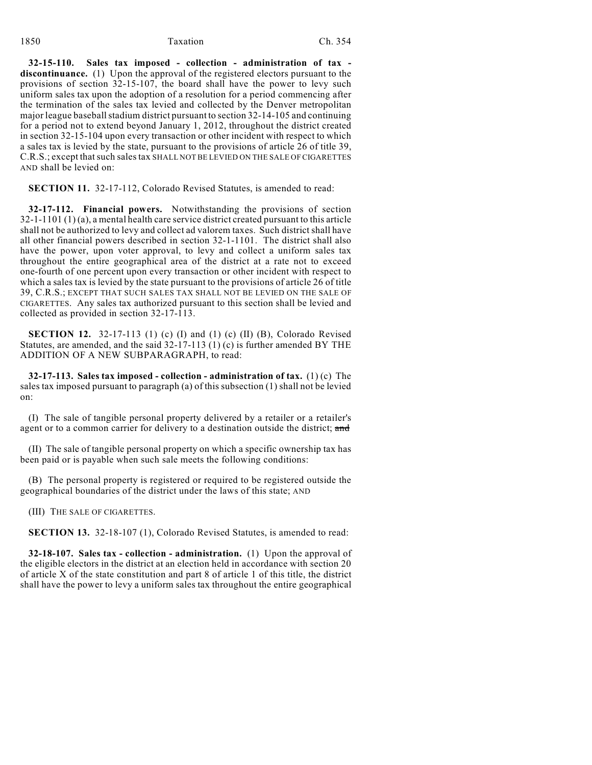#### 1850 Taxation Ch. 354

**32-15-110. Sales tax imposed - collection - administration of tax discontinuance.** (1) Upon the approval of the registered electors pursuant to the provisions of section 32-15-107, the board shall have the power to levy such uniform sales tax upon the adoption of a resolution for a period commencing after the termination of the sales tax levied and collected by the Denver metropolitan major league baseball stadium district pursuant to section 32-14-105 and continuing for a period not to extend beyond January 1, 2012, throughout the district created in section 32-15-104 upon every transaction or other incident with respect to which a sales tax is levied by the state, pursuant to the provisions of article 26 of title 39, C.R.S.; except that such sales tax SHALL NOT BE LEVIED ON THE SALE OF CIGARETTES AND shall be levied on:

**SECTION 11.** 32-17-112, Colorado Revised Statutes, is amended to read:

**32-17-112. Financial powers.** Notwithstanding the provisions of section 32-1-1101 (1) (a), a mental health care service district created pursuant to this article shall not be authorized to levy and collect ad valorem taxes. Such district shall have all other financial powers described in section 32-1-1101. The district shall also have the power, upon voter approval, to levy and collect a uniform sales tax throughout the entire geographical area of the district at a rate not to exceed one-fourth of one percent upon every transaction or other incident with respect to which a sales tax is levied by the state pursuant to the provisions of article 26 of title 39, C.R.S.; EXCEPT THAT SUCH SALES TAX SHALL NOT BE LEVIED ON THE SALE OF CIGARETTES. Any sales tax authorized pursuant to this section shall be levied and collected as provided in section 32-17-113.

**SECTION 12.** 32-17-113 (1) (c) (I) and (1) (c) (II) (B), Colorado Revised Statutes, are amended, and the said  $32-17-113$  (1) (c) is further amended BY THE ADDITION OF A NEW SUBPARAGRAPH, to read:

**32-17-113. Sales tax imposed - collection - administration of tax.** (1) (c) The sales tax imposed pursuant to paragraph (a) of this subsection (1) shall not be levied on:

(I) The sale of tangible personal property delivered by a retailer or a retailer's agent or to a common carrier for delivery to a destination outside the district; and

(II) The sale of tangible personal property on which a specific ownership tax has been paid or is payable when such sale meets the following conditions:

(B) The personal property is registered or required to be registered outside the geographical boundaries of the district under the laws of this state; AND

(III) THE SALE OF CIGARETTES.

**SECTION 13.** 32-18-107 (1), Colorado Revised Statutes, is amended to read:

**32-18-107. Sales tax - collection - administration.** (1) Upon the approval of the eligible electors in the district at an election held in accordance with section 20 of article X of the state constitution and part 8 of article 1 of this title, the district shall have the power to levy a uniform sales tax throughout the entire geographical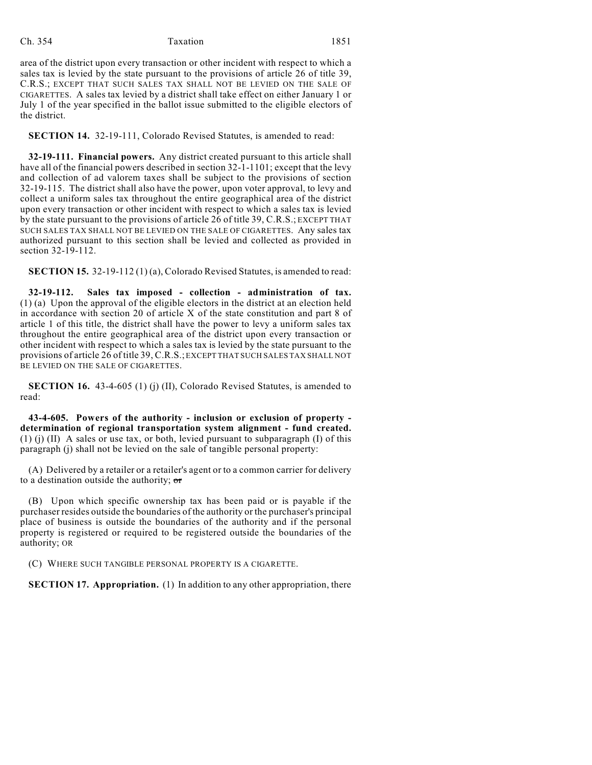### Ch. 354 Taxation 1851

area of the district upon every transaction or other incident with respect to which a sales tax is levied by the state pursuant to the provisions of article 26 of title 39, C.R.S.; EXCEPT THAT SUCH SALES TAX SHALL NOT BE LEVIED ON THE SALE OF CIGARETTES. A sales tax levied by a district shall take effect on either January 1 or July 1 of the year specified in the ballot issue submitted to the eligible electors of the district.

**SECTION 14.** 32-19-111, Colorado Revised Statutes, is amended to read:

**32-19-111. Financial powers.** Any district created pursuant to this article shall have all of the financial powers described in section 32-1-1101; except that the levy and collection of ad valorem taxes shall be subject to the provisions of section 32-19-115. The district shall also have the power, upon voter approval, to levy and collect a uniform sales tax throughout the entire geographical area of the district upon every transaction or other incident with respect to which a sales tax is levied by the state pursuant to the provisions of article 26 of title 39, C.R.S.; EXCEPT THAT SUCH SALES TAX SHALL NOT BE LEVIED ON THE SALE OF CIGARETTES. Any sales tax authorized pursuant to this section shall be levied and collected as provided in section 32-19-112.

**SECTION 15.** 32-19-112 (1) (a), Colorado Revised Statutes, is amended to read:

**32-19-112. Sales tax imposed - collection - administration of tax.** (1) (a) Upon the approval of the eligible electors in the district at an election held in accordance with section 20 of article X of the state constitution and part 8 of article 1 of this title, the district shall have the power to levy a uniform sales tax throughout the entire geographical area of the district upon every transaction or other incident with respect to which a sales tax is levied by the state pursuant to the provisions of article 26 of title 39, C.R.S.; EXCEPT THAT SUCH SALES TAX SHALL NOT BE LEVIED ON THE SALE OF CIGARETTES.

**SECTION 16.** 43-4-605 (1) (j) (II), Colorado Revised Statutes, is amended to read:

**43-4-605. Powers of the authority - inclusion or exclusion of property determination of regional transportation system alignment - fund created.** (1) (i) (II) A sales or use tax, or both, levied pursuant to subparagraph (I) of this paragraph (j) shall not be levied on the sale of tangible personal property:

(A) Delivered by a retailer or a retailer's agent or to a common carrier for delivery to a destination outside the authority;  $\sigma r$ 

(B) Upon which specific ownership tax has been paid or is payable if the purchaser resides outside the boundaries of the authority or the purchaser's principal place of business is outside the boundaries of the authority and if the personal property is registered or required to be registered outside the boundaries of the authority; OR

(C) WHERE SUCH TANGIBLE PERSONAL PROPERTY IS A CIGARETTE.

**SECTION 17. Appropriation.** (1) In addition to any other appropriation, there